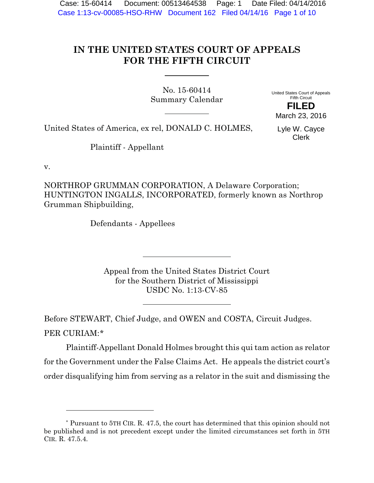Case: 15-60414 Document: 00513464538 Page: 1 Date Filed: 04/14/2016 Case 1:13-cv-00085-HSO-RHW Document 162 Filed 04/14/16 Page 1 of 10

# **IN THE UNITED STATES COURT OF APPEALS FOR THE FIFTH CIRCUIT**

No. 15-60414 Summary Calendar

United States Court of Appeals Fifth Circuit **FILED**

United States of America, ex rel, DONALD C. HOLMES,

Lyle W. Cayce Clerk

March 23, 2016

Plaintiff - Appellant

v.

NORTHROP GRUMMAN CORPORATION, A Delaware Corporation; HUNTINGTON INGALLS, INCORPORATED, formerly known as Northrop Grumman Shipbuilding,

Defendants - Appellees

Appeal from the United States District Court for the Southern District of Mississippi USDC No. 1:13-CV-85

Before STEWART, Chief Judge, and OWEN and COSTA, Circuit Judges. PER CURIAM:\*

Plaintiff-Appellant Donald Holmes brought this qui tam action as relator for the Government under the False Claims Act. He appeals the district court's order disqualifying him from serving as a relator in the suit and dismissing the

<sup>\*</sup> Pursuant to 5TH CIR. R. 47.5, the court has determined that this opinion should not be published and is not precedent except under the limited circumstances set forth in 5TH CIR. R. 47.5.4.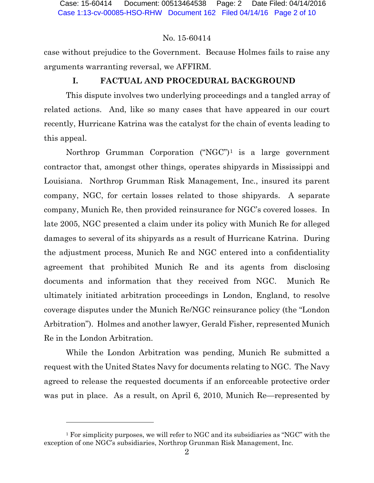case without prejudice to the Government. Because Holmes fails to raise any arguments warranting reversal, we AFFIRM.

# **I. FACTUAL AND PROCEDURAL BACKGROUND**

This dispute involves two underlying proceedings and a tangled array of related actions. And, like so many cases that have appeared in our court recently, Hurricane Katrina was the catalyst for the chain of events leading to this appeal.

Northrop Grumman Corporation ("NGC")1 is a large government contractor that, amongst other things, operates shipyards in Mississippi and Louisiana. Northrop Grumman Risk Management, Inc., insured its parent company, NGC, for certain losses related to those shipyards. A separate company, Munich Re, then provided reinsurance for NGC's covered losses. In late 2005, NGC presented a claim under its policy with Munich Re for alleged damages to several of its shipyards as a result of Hurricane Katrina. During the adjustment process, Munich Re and NGC entered into a confidentiality agreement that prohibited Munich Re and its agents from disclosing documents and information that they received from NGC. Munich Re ultimately initiated arbitration proceedings in London, England, to resolve coverage disputes under the Munich Re/NGC reinsurance policy (the "London Arbitration"). Holmes and another lawyer, Gerald Fisher, represented Munich Re in the London Arbitration.

While the London Arbitration was pending, Munich Re submitted a request with the United States Navy for documents relating to NGC. The Navy agreed to release the requested documents if an enforceable protective order was put in place. As a result, on April 6, 2010, Munich Re—represented by

<sup>&</sup>lt;sup>1</sup> For simplicity purposes, we will refer to NGC and its subsidiaries as "NGC" with the exception of one NGC's subsidiaries, Northrop Grunman Risk Management, Inc.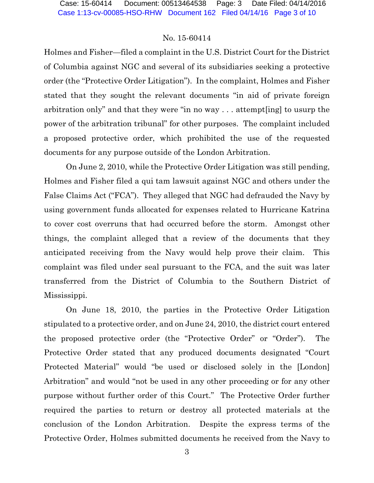Holmes and Fisher—filed a complaint in the U.S. District Court for the District of Columbia against NGC and several of its subsidiaries seeking a protective order (the "Protective Order Litigation"). In the complaint, Holmes and Fisher stated that they sought the relevant documents "in aid of private foreign arbitration only" and that they were "in no way . . . attempt[ing] to usurp the power of the arbitration tribunal" for other purposes. The complaint included a proposed protective order, which prohibited the use of the requested documents for any purpose outside of the London Arbitration.

On June 2, 2010, while the Protective Order Litigation was still pending, Holmes and Fisher filed a qui tam lawsuit against NGC and others under the False Claims Act ("FCA"). They alleged that NGC had defrauded the Navy by using government funds allocated for expenses related to Hurricane Katrina to cover cost overruns that had occurred before the storm. Amongst other things, the complaint alleged that a review of the documents that they anticipated receiving from the Navy would help prove their claim. This complaint was filed under seal pursuant to the FCA, and the suit was later transferred from the District of Columbia to the Southern District of Mississippi.

On June 18, 2010, the parties in the Protective Order Litigation stipulated to a protective order, and on June 24, 2010, the district court entered the proposed protective order (the "Protective Order" or "Order"). The Protective Order stated that any produced documents designated "Court Protected Material" would "be used or disclosed solely in the [London] Arbitration" and would "not be used in any other proceeding or for any other purpose without further order of this Court." The Protective Order further required the parties to return or destroy all protected materials at the conclusion of the London Arbitration. Despite the express terms of the Protective Order, Holmes submitted documents he received from the Navy to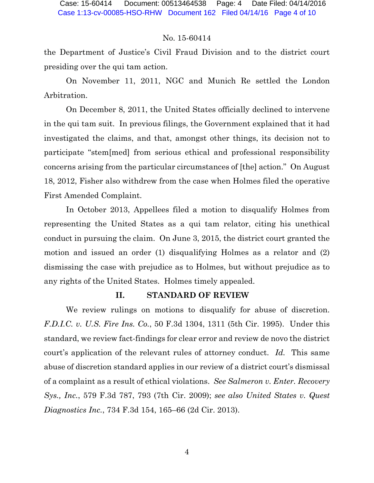the Department of Justice's Civil Fraud Division and to the district court presiding over the qui tam action.

On November 11, 2011, NGC and Munich Re settled the London Arbitration.

On December 8, 2011, the United States officially declined to intervene in the qui tam suit. In previous filings, the Government explained that it had investigated the claims, and that, amongst other things, its decision not to participate "stem[med] from serious ethical and professional responsibility concerns arising from the particular circumstances of [the] action." On August 18, 2012, Fisher also withdrew from the case when Holmes filed the operative First Amended Complaint.

In October 2013, Appellees filed a motion to disqualify Holmes from representing the United States as a qui tam relator, citing his unethical conduct in pursuing the claim. On June 3, 2015, the district court granted the motion and issued an order (1) disqualifying Holmes as a relator and (2) dismissing the case with prejudice as to Holmes, but without prejudice as to any rights of the United States. Holmes timely appealed.

#### **II. STANDARD OF REVIEW**

We review rulings on motions to disqualify for abuse of discretion. *F.D.I.C. v. U.S. Fire Ins. Co.*, 50 F.3d 1304, 1311 (5th Cir. 1995). Under this standard, we review fact-findings for clear error and review de novo the district court's application of the relevant rules of attorney conduct. *Id.* This same abuse of discretion standard applies in our review of a district court's dismissal of a complaint as a result of ethical violations. *See Salmeron v. Enter. Recovery Sys., Inc.*, 579 F.3d 787, 793 (7th Cir. 2009); *see also United States v. Quest Diagnostics Inc.*, 734 F.3d 154, 165–66 (2d Cir. 2013).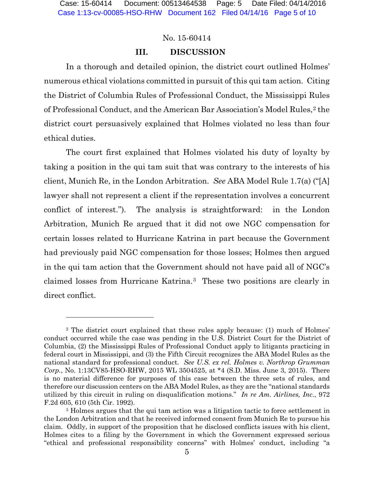#### **III. DISCUSSION**

In a thorough and detailed opinion, the district court outlined Holmes' numerous ethical violations committed in pursuit of this qui tam action. Citing the District of Columbia Rules of Professional Conduct, the Mississippi Rules of Professional Conduct, and the American Bar Association's Model Rules,<sup>2</sup> the district court persuasively explained that Holmes violated no less than four ethical duties.

The court first explained that Holmes violated his duty of loyalty by taking a position in the qui tam suit that was contrary to the interests of his client, Munich Re, in the London Arbitration. *See* ABA Model Rule 1.7(a) ("[A] lawyer shall not represent a client if the representation involves a concurrent conflict of interest."). The analysis is straightforward: in the London Arbitration, Munich Re argued that it did not owe NGC compensation for certain losses related to Hurricane Katrina in part because the Government had previously paid NGC compensation for those losses; Holmes then argued in the qui tam action that the Government should not have paid all of NGC's claimed losses from Hurricane Katrina.3 These two positions are clearly in direct conflict.

<sup>2</sup> The district court explained that these rules apply because: (1) much of Holmes' conduct occurred while the case was pending in the U.S. District Court for the District of Columbia, (2) the Mississippi Rules of Professional Conduct apply to litigants practicing in federal court in Mississippi, and (3) the Fifth Circuit recognizes the ABA Model Rules as the national standard for professional conduct. *See U.S. ex rel. Holmes v. Northrop Grumman Corp.*, No. 1:13CV85-HSO-RHW, 2015 WL 3504525, at \*4 (S.D. Miss. June 3, 2015). There is no material difference for purposes of this case between the three sets of rules, and therefore our discussion centers on the ABA Model Rules, as they are the "national standards utilized by this circuit in ruling on disqualification motions." *In re Am. Airlines, Inc.*, 972 F.2d 605, 610 (5th Cir. 1992).

<sup>3</sup> Holmes argues that the qui tam action was a litigation tactic to force settlement in the London Arbitration and that he received informed consent from Munich Re to pursue his claim. Oddly, in support of the proposition that he disclosed conflicts issues with his client, Holmes cites to a filing by the Government in which the Government expressed serious "ethical and professional responsibility concerns" with Holmes' conduct, including "a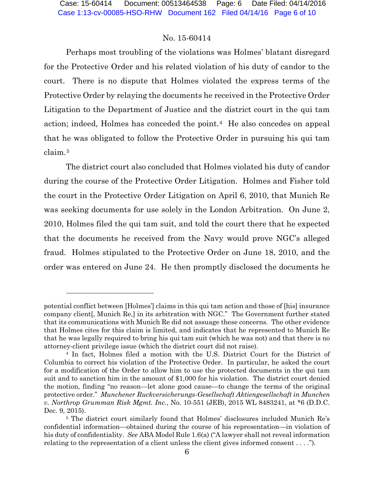Perhaps most troubling of the violations was Holmes' blatant disregard for the Protective Order and his related violation of his duty of candor to the court. There is no dispute that Holmes violated the express terms of the Protective Order by relaying the documents he received in the Protective Order Litigation to the Department of Justice and the district court in the qui tam action; indeed, Holmes has conceded the point.<sup>4</sup> He also concedes on appeal that he was obligated to follow the Protective Order in pursuing his qui tam claim.5

The district court also concluded that Holmes violated his duty of candor during the course of the Protective Order Litigation. Holmes and Fisher told the court in the Protective Order Litigation on April 6, 2010, that Munich Re was seeking documents for use solely in the London Arbitration. On June 2, 2010, Holmes filed the qui tam suit, and told the court there that he expected that the documents he received from the Navy would prove NGC's alleged fraud. Holmes stipulated to the Protective Order on June 18, 2010, and the order was entered on June 24. He then promptly disclosed the documents he

l

potential conflict between [Holmes'] claims in this qui tam action and those of [his] insurance company client[, Munich Re,] in its arbitration with NGC." The Government further stated that its communications with Munich Re did not assuage these concerns. The other evidence that Holmes cites for this claim is limited, and indicates that he represented to Munich Re that he was legally required to bring his qui tam suit (which he was not) and that there is no attorney-client privilege issue (which the district court did not raise).

<sup>4</sup> In fact, Holmes filed a motion with the U.S. District Court for the District of Columbia to correct his violation of the Protective Order. In particular, he asked the court for a modification of the Order to allow him to use the protected documents in the qui tam suit and to sanction him in the amount of \$1,000 for his violation. The district court denied the motion, finding "no reason—let alone good cause—to change the terms of the original protective order." *Munchener Ruckversicherungs-Gesellschaft Aktiengesellschaft in Munchen v. Northrop Grumman Risk Mgmt. Inc.*, No. 10-551 (JEB), 2015 WL 8483241, at \*6 (D.D.C. Dec. 9, 2015).

<sup>5</sup> The district court similarly found that Holmes' disclosures included Munich Re's confidential information—obtained during the course of his representation—in violation of his duty of confidentiality. *See* ABA Model Rule 1.6(a) ("A lawyer shall not reveal information relating to the representation of a client unless the client gives informed consent . . . .").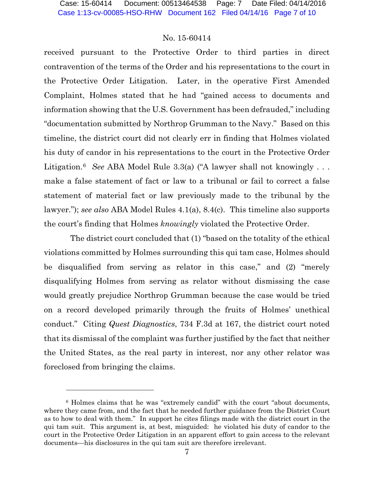received pursuant to the Protective Order to third parties in direct contravention of the terms of the Order and his representations to the court in the Protective Order Litigation. Later, in the operative First Amended Complaint, Holmes stated that he had "gained access to documents and information showing that the U.S. Government has been defrauded," including "documentation submitted by Northrop Grumman to the Navy." Based on this timeline, the district court did not clearly err in finding that Holmes violated his duty of candor in his representations to the court in the Protective Order Litigation.<sup>6</sup> *See* ABA Model Rule 3.3(a) ("A lawyer shall not knowingly ... make a false statement of fact or law to a tribunal or fail to correct a false statement of material fact or law previously made to the tribunal by the lawyer."); *see also* ABA Model Rules 4.1(a), 8.4(c). This timeline also supports the court's finding that Holmes *knowingly* violated the Protective Order.

 The district court concluded that (1) "based on the totality of the ethical violations committed by Holmes surrounding this qui tam case, Holmes should be disqualified from serving as relator in this case," and (2) "merely disqualifying Holmes from serving as relator without dismissing the case would greatly prejudice Northrop Grumman because the case would be tried on a record developed primarily through the fruits of Holmes' unethical conduct." Citing *Quest Diagnostics*, 734 F.3d at 167, the district court noted that its dismissal of the complaint was further justified by the fact that neither the United States, as the real party in interest, nor any other relator was foreclosed from bringing the claims.

-

<sup>6</sup> Holmes claims that he was "extremely candid" with the court "about documents, where they came from, and the fact that he needed further guidance from the District Court as to how to deal with them." In support he cites filings made with the district court in the qui tam suit. This argument is, at best, misguided: he violated his duty of candor to the court in the Protective Order Litigation in an apparent effort to gain access to the relevant documents—his disclosures in the qui tam suit are therefore irrelevant.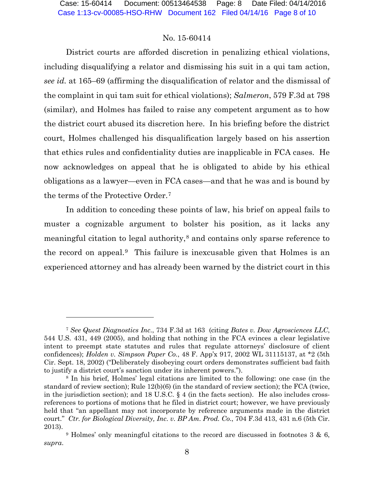District courts are afforded discretion in penalizing ethical violations, including disqualifying a relator and dismissing his suit in a qui tam action, *see id.* at 165–69 (affirming the disqualification of relator and the dismissal of the complaint in qui tam suit for ethical violations); *Salmeron*, 579 F.3d at 798 (similar), and Holmes has failed to raise any competent argument as to how the district court abused its discretion here. In his briefing before the district court, Holmes challenged his disqualification largely based on his assertion that ethics rules and confidentiality duties are inapplicable in FCA cases. He now acknowledges on appeal that he is obligated to abide by his ethical obligations as a lawyer—even in FCA cases—and that he was and is bound by the terms of the Protective Order.7

In addition to conceding these points of law, his brief on appeal fails to muster a cognizable argument to bolster his position, as it lacks any meaningful citation to legal authority,8 and contains only sparse reference to the record on appeal.9 This failure is inexcusable given that Holmes is an experienced attorney and has already been warned by the district court in this

 $\overline{a}$ 

<sup>7</sup> *See Quest Diagnostics Inc.*, 734 F.3d at 163 (citing *Bates v. Dow Agrosciences LLC*, 544 U.S. 431, 449 (2005), and holding that nothing in the FCA evinces a clear legislative intent to preempt state statutes and rules that regulate attorneys' disclosure of client confidences); *Holden v. Simpson Paper Co.*, 48 F. App'x 917, 2002 WL 31115137, at \*2 (5th Cir. Sept. 18, 2002) ("Deliberately disobeying court orders demonstrates sufficient bad faith to justify a district court's sanction under its inherent powers.").

<sup>8</sup> In his brief, Holmes' legal citations are limited to the following: one case (in the standard of review section); Rule 12(b)(6) (in the standard of review section); the FCA (twice, in the jurisdiction section); and 18 U.S.C.  $\S$  4 (in the facts section). He also includes crossreferences to portions of motions that he filed in district court; however, we have previously held that "an appellant may not incorporate by reference arguments made in the district court." *Ctr. for Biological Diversity, Inc. v. BP Am. Prod. Co.*, 704 F.3d 413, 431 n.6 (5th Cir. 2013).

<sup>9</sup> Holmes' only meaningful citations to the record are discussed in footnotes 3 & 6, *supra*.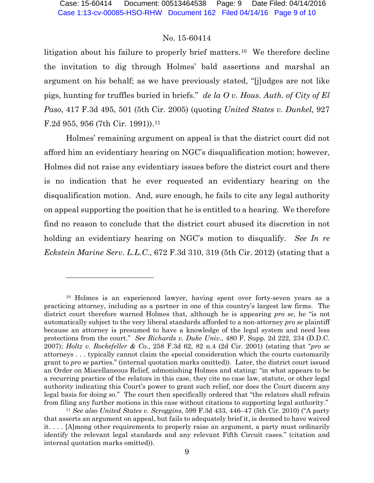litigation about his failure to properly brief matters.<sup>10</sup> We therefore decline the invitation to dig through Holmes' bald assertions and marshal an argument on his behalf; as we have previously stated, "[j]udges are not like pigs, hunting for truffles buried in briefs." *de la O v. Hous. Auth. of City of El Paso*, 417 F.3d 495, 501 (5th Cir. 2005) (quoting *United States v. Dunkel,* 927 F.2d 955, 956 (7th Cir. 1991)).11

Holmes' remaining argument on appeal is that the district court did not afford him an evidentiary hearing on NGC's disqualification motion; however, Holmes did not raise any evidentiary issues before the district court and there is no indication that he ever requested an evidentiary hearing on the disqualification motion. And, sure enough, he fails to cite any legal authority on appeal supporting the position that he is entitled to a hearing. We therefore find no reason to conclude that the district court abused its discretion in not holding an evidentiary hearing on NGC's motion to disqualify. *See In re Eckstein Marine Serv. L.L.C.*, 672 F.3d 310, 319 (5th Cir. 2012) (stating that a

<sup>10</sup> Holmes is an experienced lawyer, having spent over forty-seven years as a practicing attorney, including as a partner in one of this country's largest law firms. The district court therefore warned Holmes that, although he is appearing *pro se*, he "is not automatically subject to the very liberal standards afforded to a non-attorney *pro se* plaintiff because an attorney is presumed to have a knowledge of the legal system and need less protections from the court." *See Richards v. Duke Univ.*, 480 F. Supp. 2d 222, 234 (D.D.C. 2007); *Holtz v. Rockefeller & Co.*, 258 F.3d 62, 82 n.4 (2d Cir. 2001) (stating that "*pro se* attorneys . . . typically cannot claim the special consideration which the courts customarily grant to *pro se* parties." (internal quotation marks omitted)). Later, the district court issued an Order on Miscellaneous Relief, admonishing Holmes and stating: "in what appears to be a recurring practice of the relators in this case, they cite no case law, statute, or other legal authority indicating this Court's power to grant such relief, nor does the Court discern any legal basis for doing so." The court then specifically ordered that "the relators shall refrain from filing any further motions in this case without citations to supporting legal authority."

<sup>11</sup> *See also United States v. Scroggins*, 599 F.3d 433, 446–47 (5th Cir. 2010) ("A party that asserts an argument on appeal, but fails to adequately brief it, is deemed to have waived it. . . . [A]mong other requirements to properly raise an argument, a party must ordinarily identify the relevant legal standards and any relevant Fifth Circuit cases." (citation and internal quotation marks omitted)).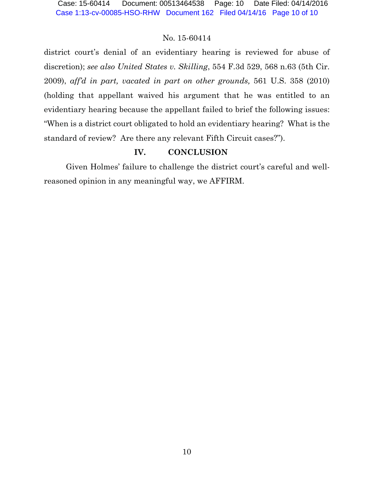district court's denial of an evidentiary hearing is reviewed for abuse of discretion); *see also United States v. Skilling*, 554 F.3d 529, 568 n.63 (5th Cir. 2009), *aff'd in part, vacated in part on other grounds,* 561 U.S. 358 (2010) (holding that appellant waived his argument that he was entitled to an evidentiary hearing because the appellant failed to brief the following issues: "When is a district court obligated to hold an evidentiary hearing? What is the standard of review? Are there any relevant Fifth Circuit cases?").

# **IV. CONCLUSION**

Given Holmes' failure to challenge the district court's careful and wellreasoned opinion in any meaningful way, we AFFIRM.